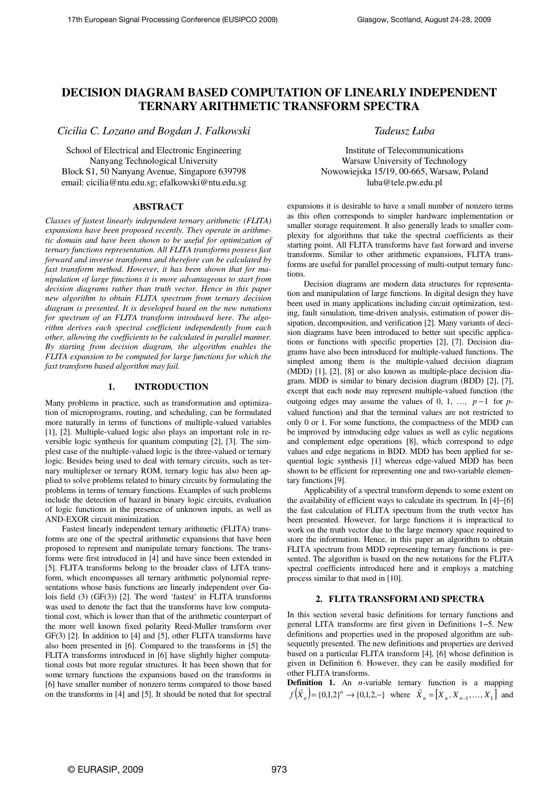# **DECISION DIAGRAM BASED COMPUTATION OF LINEARLY INDEPENDENT TERNARY ARITHMETIC TRANSFORM SPECTRA**

*Cicilia C. Lozano and Bogdan J. Falkowski* 

School of Electrical and Electronic Engineering Nanyang Technological University Block S1, 50 Nanyang Avenue, Singapore 639798 email: cicilia@ntu.edu.sg; efalkowski@ntu.edu.sg

### **ABSTRACT**

*Classes of fastest linearly independent ternary arithmetic (FLITA) expansions have been proposed recently. They operate in arithmetic domain and have been shown to be useful for optimization of ternary functions representation. All FLITA transforms possess fast forward and inverse transforms and therefore can be calculated by fast transform method. However, it has been shown that for manipulation of large functions it is more advantageous to start from decision diagrams rather than truth vector. Hence in this paper new algorithm to obtain FLITA spectrum from ternary decision diagram is presented. It is developed based on the new notations for spectrum of an FLITA transform introduced here. The algorithm derives each spectral coefficient independently from each other, allowing the coefficients to be calculated in parallel manner. By starting from decision diagram, the algorithm enables the FLITA expansion to be computed for large functions for which the fast transform based algorithm may fail.* 

### **1. INTRODUCTION**

Many problems in practice, such as transformation and optimization of microprograms, routing, and scheduling, can be formulated more naturally in terms of functions of multiple-valued variables [1], [2]. Multiple-valued logic also plays an important role in reversible logic synthesis for quantum computing [2], [3]. The simplest case of the multiple-valued logic is the three-valued or ternary logic. Besides being used to deal with ternary circuits, such as ternary multiplexer or ternary ROM, ternary logic has also been applied to solve problems related to binary circuits by formulating the problems in terms of ternary functions. Examples of such problems include the detection of hazard in binary logic circuits, evaluation of logic functions in the presence of unknown inputs, as well as AND-EXOR circuit minimization.

Fastest linearly independent ternary arithmetic (FLITA) transforms are one of the spectral arithmetic expansions that have been proposed to represent and manipulate ternary functions. The transforms were first introduced in [4] and have since been extended in [5]. FLITA transforms belong to the broader class of LITA transform, which encompasses all ternary arithmetic polynomial representations whose basis functions are linearly independent over Galois field (3) (GF(3)) [2]. The word 'fastest' in FLITA transforms was used to denote the fact that the transforms have low computational cost, which is lower than that of the arithmetic counterpart of the more well known fixed polarity Reed-Muller transform over GF(3) [2]. In addition to [4] and [5], other FLITA transforms have also been presented in [6]. Compared to the transforms in [5] the FLITA transforms introduced in [6] have slightly higher computational costs but more regular structures. It has been shown that for some ternary functions the expansions based on the transforms in [6] have smaller number of nonzero terms compared to those based on the transforms in [4] and [5]. It should be noted that for spectral

*Tadeusz Łuba* 

Institute of Telecommunications Warsaw University of Technology Nowowiejska 15/19, 00-665, Warsaw, Poland luba@tele.pw.edu.pl

expansions it is desirable to have a small number of nonzero terms as this often corresponds to simpler hardware implementation or smaller storage requirement. It also generally leads to smaller complexity for algorithms that take the spectral coefficients as their starting point. All FLITA transforms have fast forward and inverse transforms. Similar to other arithmetic expansions, FLITA transforms are useful for parallel processing of multi-output ternary functions.

Decision diagrams are modern data structures for representation and manipulation of large functions. In digital design they have been used in many applications including circuit optimization, testing, fault simulation, time-driven analysis, estimation of power dissipation, decomposition, and verification [2]. Many variants of decision diagrams have been introduced to better suit specific applications or functions with specific properties [2], [7]. Decision diagrams have also been introduced for multiple-valued functions. The simplest among them is the multiple-valued decision diagram (MDD) [1], [2], [8] or also known as multiple-place decision diagram. MDD is similar to binary decision diagram (BDD) [2], [7], except that each node may represent multiple-valued function (the outgoing edges may assume the values of 0, 1, …, *p* −1 for *p*valued function) and that the terminal values are not restricted to only 0 or 1. For some functions, the compactness of the MDD can be improved by introducing edge values as well as cylic negations and complement edge operations [8], which correspond to edge values and edge negations in BDD. MDD has been applied for sequential logic synthesis [1] whereas edge-valued MDD has been shown to be efficient for representing one and two-variable elementary functions [9].

Applicability of a spectral transform depends to some extent on the availability of efficient ways to calculate its spectrum. In [4]−[6] the fast calculation of FLITA spectrum from the truth vector has been presented. However, for large functions it is impractical to work on the truth vector due to the large memory space required to store the information. Hence, in this paper an algorithm to obtain FLITA spectrum from MDD representing ternary functions is presented. The algorithm is based on the new notations for the FLITA spectral coefficients introduced here and it employs a matching process similar to that used in [10].

## **2. FLITA TRANSFORM AND SPECTRA**

In this section several basic definitions for ternary functions and general LITA transforms are first given in Definitions 1−5. New definitions and properties used in the proposed algorithm are subsequently presented. The new definitions and properties are derived based on a particular FLITA transform [4], [6] whose definition is given in Definition 6. However, they can be easily modified for other FLITA transforms.

**Definition 1.** An *n*-variable ternary function is a mapping  $f(\vec{X}_n) = \{0,1,2\}^n \rightarrow \{0,1,2,-\}$  where  $\vec{X}_n = [X_n, X_{n-1},...,X_1]$  and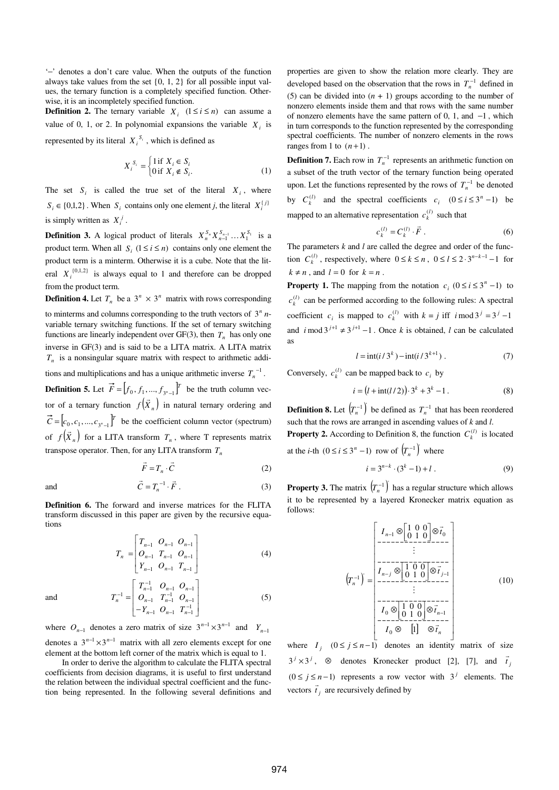'−' denotes a don't care value. When the outputs of the function always take values from the set {0, 1, 2} for all possible input values, the ternary function is a completely specified function. Otherwise, it is an incompletely specified function.

**Definition 2.** The ternary variable  $X_i$  ( $1 \le i \le n$ ) can assume a value of 0, 1, or 2. In polynomial expansions the variable  $X_i$  is represented by its literal  $X_i^{S_i}$ , which is defined as

$$
X_i^{S_i} = \begin{cases} 1 \text{ if } X_i \in S_i \\ 0 \text{ if } X_i \notin S_i. \end{cases}
$$
 (1)

The set  $S_i$  is called the true set of the literal  $X_i$ , where  $S_i \in \{0,1,2\}$ . When  $S_i$  contains only one element *j*, the literal  $X_i^{(j)}$ is simply written as  $X_i^j$ .

**Definition 3.** A logical product of literals  $X_n^{S_n} X_{n-1}^{S_{n-1}} \dots X_1^{S_1}$  is a product term. When all  $S_i$   $(1 \le i \le n)$  contains only one element the product term is a minterm. Otherwise it is a cube. Note that the literal  $X_i^{\{0,1,2\}}$  is always equal to 1 and therefore can be dropped from the product term.

**Definition 4.** Let  $T_n$  be a  $3^n \times 3^n$  matrix with rows corresponding to minterms and columns corresponding to the truth vectors of  $3<sup>n</sup> n$ variable ternary switching functions. If the set of ternary switching functions are linearly independent over  $GF(3)$ , then  $T<sub>n</sub>$  has only one inverse in GF(3) and is said to be a LITA matrix. A LITA matrix *Tn* is a nonsingular square matrix with respect to arithmetic additions and multiplications and has a unique arithmetic inverse  $T_n^{-1}$ . **Definition 5.** Let  $\vec{F} = \begin{bmatrix} f_0, f_1, ..., f_{3^n-1} \end{bmatrix}^T$  be the truth column vector of a ternary function  $f(X_n)$  in natural ternary ordering and  $\vec{C} = [c_0, c_1, ..., c_{3^n-1}]^T$  be the coefficient column vector (spectrum) of  $f(X_n)$  $\overline{a}$ for a LITA transform  $T<sub>n</sub>$ , where T represents matrix

transpose operator. Then, for any LITA transform *T<sup>n</sup>*

$$
\vec{F} = T_n \cdot \vec{C} \tag{2}
$$

and 
$$
\vec{C} = T_n^{-1} \cdot \vec{F} . \tag{3}
$$

**Definition 6.** The forward and inverse matrices for the FLITA transform discussed in this paper are given by the recursive equations

$$
T_n = \begin{bmatrix} T_{n-1} & O_{n-1} & O_{n-1} \\ O_{n-1} & T_{n-1} & O_{n-1} \\ Y_{n-1} & O_{n-1} & T_{n-1} \end{bmatrix}
$$
 (4)

J

 $T_n^{-1} = \begin{bmatrix} O_{n-1} & T_{n-1}^{-1} & O_{n-1} \end{bmatrix}$  (5)

I

and

I I  $\overline{\phantom{a}}$ L L L −  $-1$   $O_{n-1}$   $T_{n-1}^{-1}$  $1 \t O_{n-1} \t T_{n-1}^{-1}$  $n-1$   $\cup$   $n-1$   $\cup$   $n$  $Y_{n-1}$   $O_{n-1}$  *T* where  $O_{n-1}$  denotes a zero matrix of size  $3^{n-1} \times 3^{n-1}$  and  $Y_{n-1}$ 

 $T_{n-1}^{-1}$   $O_{n-1}$  $-\frac{1}{2}$   $\begin{bmatrix} T_{n-1}^{-1} & O_{n-1} & O_{n-1} \\ O & T^{-1} & O \end{bmatrix}$ 

 $n-1$   $\boldsymbol{I}$   $n-1$   $\boldsymbol{U}$  $n-1$   $v_{n-1}$   $v_n$ 

 $O_{n-1}$   $T_{n-1}^{-1}$   $O$  $T_{n-1}^{-1}$   $O_{n-1}$   $O$ 

 $T_{n-1}^{-1}$   $O_{n-1}$  $T_{n-1}^{-1}$   $O_{n-1}$   $O_{n-1}$ <br> $O_{n-1}$ 

denotes a  $3^{n-1} \times 3^{n-1}$  matrix with all zero elements except for one element at the bottom left corner of the matrix which is equal to 1.

L

=

*n*

Г

In order to derive the algorithm to calculate the FLITA spectral coefficients from decision diagrams, it is useful to first understand the relation between the individual spectral coefficient and the function being represented. In the following several definitions and

properties are given to show the relation more clearly. They are developed based on the observation that the rows in  $T<sub>n</sub><sup>-1</sup>$  defined in (5) can be divided into  $(n + 1)$  groups according to the number of nonzero elements inside them and that rows with the same number of nonzero elements have the same pattern of 0, 1, and −1 , which in turn corresponds to the function represented by the corresponding spectral coefficients. The number of nonzero elements in the rows ranges from 1 to  $(n+1)$ .

**Definition 7.** Each row in  $T<sub>n</sub><sup>-1</sup>$  represents an arithmetic function on a subset of the truth vector of the ternary function being operated upon. Let the functions represented by the rows of  $T<sub>n</sub><sup>-1</sup>$  be denoted by  $C_k^{(l)}$  and the spectral coefficients  $c_i \quad (0 \le i \le 3^n - 1)$  be mapped to an alternative representation  $c_k^{(l)}$  such that

$$
c_k^{(l)} = C_k^{(l)} \cdot \vec{F} \,. \tag{6}
$$

The parameters *k* and *l* are called the degree and order of the function  $C_k^{(l)}$ , respectively, where  $0 \le k \le n$ ,  $0 \le l \le 2 \cdot 3^{n-k-1} - 1$  for  $k \neq n$ , and  $l = 0$  for  $k = n$ .

**Property 1.** The mapping from the notation  $c_i$  ( $0 \le i \le 3^n - 1$ ) to  $c_k^{(l)}$  can be performed according to the following rules: A spectral coefficient  $c_i$  is mapped to  $c_k^{(l)}$  with  $k = j$  iff  $i \mod 3^j = 3^j - 1$ and  $i \mod 3^{j+1} \neq 3^{j+1} - 1$ . Once *k* is obtained, *l* can be calculated as

$$
l = \operatorname{int}(i/3^k) - \operatorname{int}(i/3^{k+1}) . \tag{7}
$$

Conversely,  $c_k^{(l)}$  can be mapped back to  $c_i$  by

$$
i = (l + \text{int}(l/2)) \cdot 3^{k} + 3^{k} - 1.
$$
 (8)

**Definition 8.** Let  $(T_n^{-1})$  be defined as  $T_n^{-1}$  that has been reordered such that the rows are arranged in ascending values of *k* and *l*.

**Property 2.** According to Definition 8, the function  $C_k^{(l)}$  is located at the *i*-th  $(0 \le i \le 3^n - 1)$  row of  $(T_n^{-1})$  where

$$
i = 3^{n-k} \cdot (3^k - 1) + l \tag{9}
$$

**Property 3.** The matrix  $(T_n^{-1})$  has a regular structure which allows it to be represented by a layered Kronecker matrix equation as follows:

$$
\left(T_n^{-1}\right) = \begin{bmatrix} I_{n-1} \otimes \begin{bmatrix} 1 & 0 & 0 \\ 0 & 1 & 0 \end{bmatrix} \otimes \vec{t}_0 \\ \vdots \\ I_{n-j} \otimes \begin{bmatrix} 1 & 0 & 0 \\ 0 & 1 & 0 \end{bmatrix} \otimes \vec{t}_{j-1} \\ \vdots \\ I_0 \otimes \begin{bmatrix} 1 & 0 & 0 \\ 0 & 1 & 0 \end{bmatrix} \otimes \vec{t}_{j-1} \\ \vdots \\ I_0 \otimes \begin{bmatrix} 1 & 0 & 0 \\ 0 & 1 & 0 \end{bmatrix} \otimes \vec{t}_{n-1} \\ \vdots \\ I_0 \otimes \begin{bmatrix} 1 & 0 & 0 \\ 0 & 1 & 0 \end{bmatrix} \otimes \vec{t}_n \end{bmatrix} \qquad (10)
$$

where  $I_j$   $(0 \le j \le n-1)$  denotes an identity matrix of size  $3^{j} \times 3^{j}$ , ⊗ denotes Kronecker product [2], [7], and  $\vec{t}$ r  $(0 \le j \le n-1)$  represents a row vector with  $3<sup>j</sup>$  elements. The vectors  $\vec{t}_j$  are recursively defined by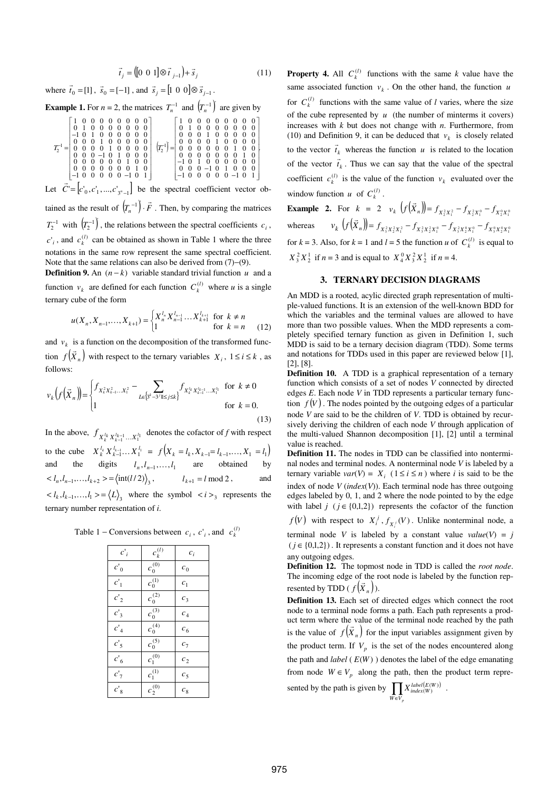$$
\vec{t}_j = ([0 \ 0 \ 1] \otimes \vec{t}_{j-1}) + \vec{s}_j \tag{11}
$$

where  $\vec{t}_0 = [1]$  $\vec{s}_0 = [-1]$ , and  $\vec{s}_j = [1 \ 0 \ 0] \otimes \vec{s}_{j-1}$ .

**Example 1.** For  $n = 2$ , the matrices  $T_n^{-1}$  and  $(T_n^{-1})$  are given by

$$
T_2^{-1}=\left[\begin{array}{cccccc} 1 & 0 & 0 & 0 & 0 & 0 & 0 & 0 & 0 \\ 0 & 1 & 0 & 0 & 0 & 0 & 0 & 0 & 0 \\ -1 & 0 & 1 & 0 & 0 & 0 & 0 & 0 & 0 \\ 0 & 0 & 0 & 1 & 0 & 0 & 0 & 0 & 0 \\ 0 & 0 & 0 & 0 & 1 & 0 & 0 & 0 & 0 \\ 0 & 0 & 0 & 0 & 1 & 0 & 0 & 0 & 0 \\ 0 & 0 & 0 & 0 & 0 & 0 & 0 & 0 & 0 \\ 0 & 0 & 0 & 0 & 0 & 0 & 0 & 0 & 0 \\ 0 & 0 & 0 & 0 & 0 & 0 & 0 & 1 & 0 \\ 0 & 0 & 0 & 0 & 0 & 0 & 0 & 1 & 0 \\ 0 & 0 & 0 & 0 & 0 & 0 & 0 & 1 & 0 \\ 0 & 0 & 0 & 0 & 0 & 0 & 0 & 1 & 0 \\ 0 & 0 & 0 & 0 & 0 & 0 & 0 & 0 & 0 \\ 0 & 0 & 0 & 0 & 0 & 0 & 0 & 0 & 0 \\ -1 & 0 & 1 & 0 & 0 & 0 & 0 & 0 & 0 \\ -1 & 0 & 0 & 0 & 0 & 0 & 0 & -1 & 0 & 1 \\ -1 & 0 & 0 & 0 & 0 & 0 & 0 & -1 & 0 & 1 \end{array}\right]
$$

Let  $C' = [c'_0, c'_1, ..., c'_{3^n-1}]$  be the spectral coefficient vector obtained as the result of  $(T_n^{-1}) \cdot F$ r  $\left( \begin{array}{c} -1 \end{array} \right)$ .  $\vec{F}$  . Then, by comparing the matrices  $T_2^{-1}$  with  $\left(T_2^{-1}\right)$ , the relations between the spectral coefficients  $c_i$ ,  $c'_{i}$ , and  $c_{k}^{(l)}$  can be obtained as shown in Table 1 where the three notations in the same row represent the same spectral coefficient. Note that the same relations can also be derived from (7)−(9).

**Definition 9.** An  $(n - k)$  variable standard trivial function *u* and a function  $v_k$  are defined for each function  $C_k^{(l)}$  where *u* is a single ternary cube of the form

$$
u(X_n, X_{n-1},..., X_{k+1}) = \begin{cases} X_n^{l_n} X_{n-1}^{l_{n-1}} ... X_{k+1}^{l_{k+1}} & \text{for } k \neq n \\ 1 & \text{for } k = n \end{cases}
$$
 (12)

and  $v_k$  is a function on the decomposition of the transformed function  $f(X_n)$  with respect to the ternary variables  $X_i$ ,  $1 \le i \le k$ , as follows:

$$
v_{k}\left(f(\vec{X}_{n})\right) = \begin{cases} f_{X_{k}^{2}X_{k-1}^{2}\cdots X_{1}^{2}} - \sum_{L\in\left[3^{k}-3^{j}\right]\mid\leq j\leq k\right\}} f_{X_{k}^{l_{k}}X_{k-1}^{l_{k-1}}\cdots X_{1}^{l_{1}}} & \text{for } k \neq 0\\ 1 & \text{for } k = 0. \end{cases}
$$
\n(13)

In the above,  $f_{X_k^l k X_{k-1}^{l_k - 1} \ldots X_1^{l_1}}$  denotes the cofactor of *f* with respect 1 *k* to the cube  $X_k^{l_k} X_{k-1}^{l_{k-1}}... X_1^{l_1} = f(X_k = l_k, X_{k-1} = l_{k-1},..., X_1 = l_1)$ and the digits  $l_n, l_{n-1},...,l_1$  are obtained by  $\langle l_n, l_{n-1},...,l_{k+2}\rangle = \langle \text{int}(l/2) \rangle_3,$   $l_{k+1} = l \text{ mod } 2,$  and  $\langle l_k, l_{k-1},...,l_1 \rangle = \langle L \rangle$  where the symbol  $\langle i \rangle$  represents the ternary number representation of *i*.

Table 1 – Conversions between  $c_i$ ,  $c'_i$ , and  $c_k^{(l)}$ 

| $c_i$          | $c_k^{(l)}$ | $c_i$              |
|----------------|-------------|--------------------|
| $c'_0$         | $c_0^{(0)}$ | $\boldsymbol{c}_0$ |
| $c_1$          | $c_0^{(1)}$ | $c_{1}$            |
| $c'_2$         | $c_0^{(2)}$ | $c_3$              |
| $c_3$          | $c_0^{(3)}$ | c <sub>4</sub>     |
| $c'_4$         | $c_0^{(4)}$ | c <sub>6</sub>     |
| c <sub>5</sub> | $c_0^{(5)}$ | $c_7$              |
| $c_{6}$        | $c_1^{(0)}$ | c <sub>2</sub>     |
| c <sub>7</sub> | $c_1^{(1)}$ | c <sub>5</sub>     |
| $c'_{8}$       | $c_2^{(0)}$ | $c_{8}$            |

**Property 4.** All  $C_k^{(l)}$  functions with the same *k* value have the same associated function  $v_k$ . On the other hand, the function *u* for  $C_k^{(l)}$  functions with the same value of *l* varies, where the size of the cube represented by  $u$  (the number of minterms it covers) increases with *k* but does not change with *n*. Furthermore, from (10) and Definition 9, it can be deduced that  $v_k$  is closely related to the vector  $\vec{t}_k$  whereas the function *u* is related to the location of the vector  $\vec{t}_k$ . Thus we can say that the value of the spectral coefficient  $c_k^{(l)}$  is the value of the function  $v_k$  evaluated over the window function *u* of  $C_k^{(l)}$ .

**Example 2.** For  $k = 2$   $v_k$   $(f(X_n)) = f_{X_2^2 X_1^2} - f_{X_2^2 X_1^0} - f_{X_2^0 X_1^0}$  $\Lambda_2 \Lambda_1$   $\Lambda_2 \Lambda_1$ r whereas *<sup>k</sup>*  $v_k$   $(f(X_n)) = f_{X_3^2 X_2^2 X_1^2} - f_{X_3^2 X_2^2 X_1^0} - f_{X_3^2 X_2^0 X_1^0} - f_{X_3^0 X_2^0 X_1^0}$ r for  $k = 3$ . Also, for  $k = 1$  and  $l = 5$  the function *u* of  $C_k^{(l)}$  is equal to  $X_3^2 X_2^1$  if  $n = 3$  and is equal to  $X_4^0 X_3^2 X_2^1$  if  $n = 4$ .

#### **3. TERNARY DECISION DIAGRAMS**

An MDD is a rooted, acylic directed graph representation of multiple-valued functions. It is an extension of the well-known BDD for which the variables and the terminal values are allowed to have more than two possible values. When the MDD represents a completely specified ternary function as given in Definition 1, such MDD is said to be a ternary decision diagram (TDD). Some terms and notations for TDDs used in this paper are reviewed below [1], [2], [8].

**Definition 10.** A TDD is a graphical representation of a ternary function which consists of a set of nodes *V* connected by directed edges *E*. Each node *V* in TDD represents a particular ternary function  $f(V)$ . The nodes pointed by the outgoing edges of a particular node *V* are said to be the children of *V*. TDD is obtained by recursively deriving the children of each node *V* through application of the multi-valued Shannon decomposition [1], [2] until a terminal value is reached.

**Definition 11.** The nodes in TDD can be classified into nonterminal nodes and terminal nodes. A nonterminal node *V* is labeled by a ternary variable  $var(V) = X_i$  ( $1 \le i \le n$ ) where *i* is said to be the index of node *V* (*index*(*V*)). Each terminal node has three outgoing edges labeled by 0, 1, and 2 where the node pointed to by the edge with label  $j$  ( $j \in \{0,1,2\}$ ) represents the cofactor of the function

*f*(*V*) with respect to  $X_i^j$ ,  $f_{X_i^j}(V)$ . Unlike nonterminal node, a

terminal node *V* is labeled by a constant value  $value(V) = j$  $(j \in \{0,1,2\})$ . It represents a constant function and it does not have any outgoing edges.

**Definition 12.** The topmost node in TDD is called the *root node*. The incoming edge of the root node is labeled by the function represented by TDD ( $f(X_n)$ ).

**Definition 13.** Each set of directed edges which connect the root node to a terminal node forms a path. Each path represents a product term where the value of the terminal node reached by the path is the value of  $f(X_n)$  for the input variables assignment given by the product term. If  $V_p$  is the set of the nodes encountered along the path and *label* ( *E*(*W* ) ) denotes the label of the edge emanating from node  $W \in V_p$  along the path, then the product term represented by the path is given by  $\prod_{W \in V_p} X^{label(E(W))}_{index(W)}$  $X^{label(E(W))}_{index(W)}$ .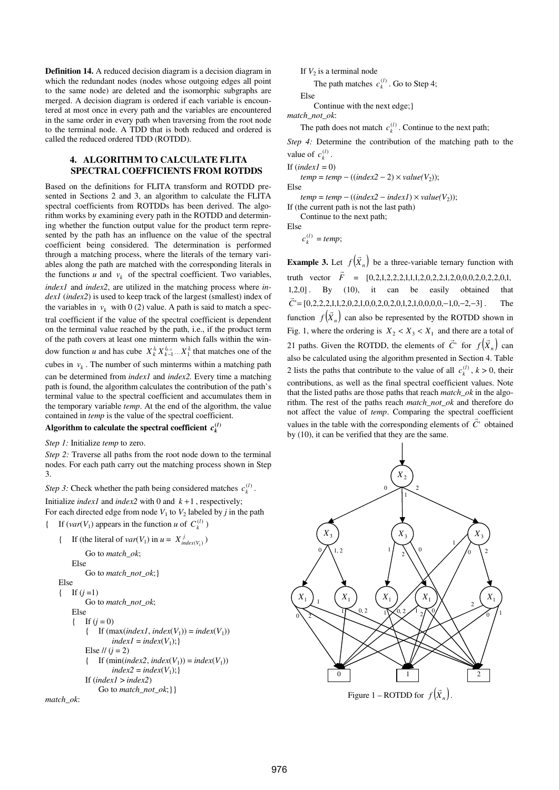**Definition 14.** A reduced decision diagram is a decision diagram in which the redundant nodes (nodes whose outgoing edges all point to the same node) are deleted and the isomorphic subgraphs are merged. A decision diagram is ordered if each variable is encountered at most once in every path and the variables are encountered in the same order in every path when traversing from the root node to the terminal node. A TDD that is both reduced and ordered is called the reduced ordered TDD (ROTDD).

#### **4. ALGORITHM TO CALCULATE FLITA SPECTRAL COEFFICIENTS FROM ROTDDS**

Based on the definitions for FLITA transform and ROTDD presented in Sections 2 and 3, an algorithm to calculate the FLITA spectral coefficients from ROTDDs has been derived. The algorithm works by examining every path in the ROTDD and determining whether the function output value for the product term represented by the path has an influence on the value of the spectral coefficient being considered. The determination is performed through a matching process, where the literals of the ternary variables along the path are matched with the corresponding literals in the functions  $u$  and  $v_k$  of the spectral coefficient. Two variables, *index1* and *index2*, are utilized in the matching process where *index1* (*index2*) is used to keep track of the largest (smallest) index of the variables in  $v_k$  with 0 (2) value. A path is said to match a spectral coefficient if the value of the spectral coefficient is dependent on the terminal value reached by the path, i.e., if the product term of the path covers at least one minterm which falls within the window function *u* and has cube  $X_k^l X_{k-1}^{l_{k-1}} \dots X_1^{l_1}$  that matches one of the cubes in  $v_k$ . The number of such minterms within a matching path can be determined from *index1* and *index2.* Every time a matching path is found, the algorithm calculates the contribution of the path's terminal value to the spectral coefficient and accumulates them in the temporary variable *temp*. At the end of the algorithm, the value contained in *temp* is the value of the spectral coefficient.

## Algorithm to calculate the spectral coefficient  $c_k^{(l)}$

*Step 1:* Initialize *temp* to zero.

*Step 2:* Traverse all paths from the root node down to the terminal nodes. For each path carry out the matching process shown in Step 3.

*Step 3:* Check whether the path being considered matches  $c_k^{(l)}$ .

Initialize *index1* and *index2* with 0 and  $k + 1$ , respectively; For each directed edge from node  $V_1$  to  $V_2$  labeled by *j* in the path { If  $(var(V_1)$  appears in the function *u* of  $C_k^{(l)}$ )

{ If (the literal of *var*( $V_1$ ) in  $u = X_{index(V_1)}^j$ )

```
 Go to match_ok; 
       Else 
           Go to match_not_ok;} 
    Else 
   { If (j=1)}
           Go to match_not_ok; 
       Else 
       { If (j = 0)}
{ If (max(index], index(V_1)) = index(V_1)index1 = index(V_1);Else 1/(i = 2){ If (\text{min}(\text{index2}, \text{index}(V_1)) = \text{index}(V_1))index2 = index(V_1); If (index1 > index2) 
               Go to match_not_ok;}}
```


If  $V_2$  is a terminal node

The path matches  $c_k^{(l)}$ . Go to Step 4;

Else

Continue with the next edge;}

*match\_not\_ok*:

The path does not match  $c_k^{(l)}$ . Continue to the next path;

*Step 4:* Determine the contribution of the matching path to the value of  $c_k^{(l)}$ .

If  $(index1 = 0)$ 

 $temp = temp - ((index2 - 2) \times value(V_2));$ Else

 $temp = temp - ((index2 - index1) \times value(V_2));$ 

If (the current path is not the last path) Continue to the next path;

Else

 $c_k^{(l)} = temp;$ 

**Example 3.** Let  $f(X_n)$ r be a three-variable ternary function with truth vector *F* r = ,1,0,2,2,0,2,0,0,0,2,1,2,2,0,2,1,1,1,2,2,2,1,2,0[  $[1,2,0]$ . By  $(10)$ , it can be easily obtained that *C*'= ,0,0,0,0,1,2,1,0,2,0,2,0,0,1,2,0,2,1,1,2,2,2,0[ − ,0,1 − ,2 − ]3 . The function  $f(X_n)$ .<br>د can also be represented by the ROTDD shown in Fig. 1, where the ordering is  $X_2 < X_3 < X_1$  and there are a total of 21 paths. Given the ROTDD, the elements of *C*' .<br>. for  $f(X_n)$ r can also be calculated using the algorithm presented in Section 4. Table 2 lists the paths that contribute to the value of all  $c_k^{(l)}$ ,  $k > 0$ , their contributions, as well as the final spectral coefficient values. Note that the listed paths are those paths that reach *match\_ok* in the algorithm. The rest of the paths reach *match\_not\_ok* and therefore do not affect the value of *temp*. Comparing the spectral coefficient values in the table with the corresponding elements of  $C<sup>r</sup>$  obtained by (10), it can be verified that they are the same.



Figure 1 – ROTDD for  $f(X_n)$ .